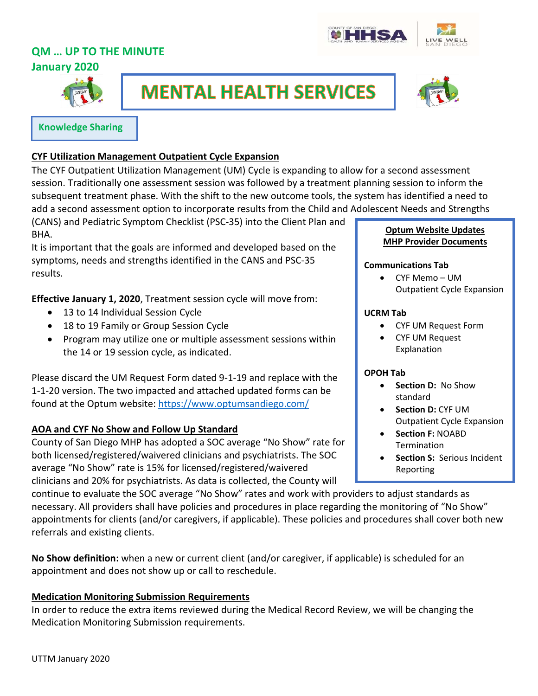# **QM … UP TO THE MINUTE**





**January 2020**

I



# **MENTAL HEALTH SERVICES**



#### **Knowledge Sharing**

# **CYF Utilization Management Outpatient Cycle Expansion**

The CYF Outpatient Utilization Management (UM) Cycle is expanding to allow for a second assessment session. Traditionally one assessment session was followed by a treatment planning session to inform the subsequent treatment phase. With the shift to the new outcome tools, the system has identified a need to add a second assessment option to incorporate results from the Child and Adolescent Needs and Strengths

(CANS) and Pediatric Symptom Checklist (PSC-35) into the Client Plan and BHA.

It is important that the goals are informed and developed based on the symptoms, needs and strengths identified in the CANS and PSC-35 results.

**Effective January 1, 2020**, Treatment session cycle will move from:

- 13 to 14 Individual Session Cycle
- 18 to 19 Family or Group Session Cycle
- Program may utilize one or multiple assessment sessions within the 14 or 19 session cycle, as indicated.

Please discard the UM Request Form dated 9-1-19 and replace with the 1-1-20 version. The two impacted and attached updated forms can be found at the Optum website:<https://www.optumsandiego.com/>

# **AOA and CYF No Show and Follow Up Standard**

County of San Diego MHP has adopted a SOC average "No Show" rate for both licensed/registered/waivered clinicians and psychiatrists. The SOC average "No Show" rate is 15% for licensed/registered/waivered clinicians and 20% for psychiatrists. As data is collected, the County will

**Optum Website Updates MHP Provider Documents**

#### **Communications Tab**

• CYF Memo – UM Outpatient Cycle Expansion

#### **UCRM Tab**

- CYF UM Request Form
- CYF UM Request Explanation

# **OPOH Tab**

- **Section D:** No Show standard
- **Section D:** CYF UM Outpatient Cycle Expansion
- **Section F:** NOABD Termination
- **Section S: Serious Incident** Reporting

continue to evaluate the SOC average "No Show" rates and work with providers to adjust standards as necessary. All providers shall have policies and procedures in place regarding the monitoring of "No Show" appointments for clients (and/or caregivers, if applicable). These policies and procedures shall cover both new referrals and existing clients.

**No Show definition:** when a new or current client (and/or caregiver, if applicable) is scheduled for an appointment and does not show up or call to reschedule.

# **Medication Monitoring Submission Requirements**

In order to reduce the extra items reviewed during the Medical Record Review, we will be changing the Medication Monitoring Submission requirements.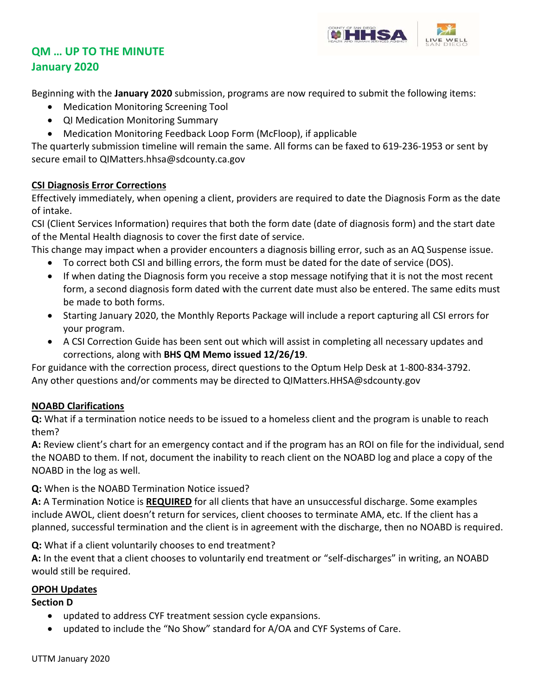

# **QM … UP TO THE MINUTE January 2020**

Beginning with the **January 2020** submission, programs are now required to submit the following items:

- Medication Monitoring Screening Tool
- QI Medication Monitoring Summary
- Medication Monitoring Feedback Loop Form (McFloop), if applicable

The quarterly submission timeline will remain the same. All forms can be faxed to 619-236-1953 or sent by secure email to [QIMatters.hhsa@sdcounty.ca.gov](mailto:QIMatters.hhsa@sdcounty.ca.gov)

# **CSI Diagnosis Error Corrections**

Effectively immediately, when opening a client, providers are required to date the Diagnosis Form as the date of intake.

CSI (Client Services Information) requires that both the form date (date of diagnosis form) and the start date of the Mental Health diagnosis to cover the first date of service.

This change may impact when a provider encounters a diagnosis billing error, such as an AQ Suspense issue.

- To correct both CSI and billing errors, the form must be dated for the date of service (DOS).
- If when dating the Diagnosis form you receive a stop message notifying that it is not the most recent form, a second diagnosis form dated with the current date must also be entered. The same edits must be made to both forms.
- Starting January 2020, the Monthly Reports Package will include a report capturing all CSI errors for your program.
- A CSI Correction Guide has been sent out which will assist in completing all necessary updates and corrections, along with **BHS QM Memo issued 12/26/19**.

For guidance with the correction process, direct questions to the Optum Help Desk at 1-800-834-3792. Any other questions and/or comments may be directed to [QIMatters.HHSA@sdcounty.gov](mailto:QIMatters.HHSA@sdcounty.gov) 

# **NOABD Clarifications**

**Q:** What if a termination notice needs to be issued to a homeless client and the program is unable to reach them?

**A:** Review client's chart for an emergency contact and if the program has an ROI on file for the individual, send the NOABD to them. If not, document the inability to reach client on the NOABD log and place a copy of the NOABD in the log as well.

**Q:** When is the NOABD Termination Notice issued?

**A:** A Termination Notice is **REQUIRED** for all clients that have an unsuccessful discharge. Some examples include AWOL, client doesn't return for services, client chooses to terminate AMA, etc. If the client has a planned, successful termination and the client is in agreement with the discharge, then no NOABD is required.

**Q:** What if a client voluntarily chooses to end treatment?

**A:** In the event that a client chooses to voluntarily end treatment or "self-discharges" in writing, an NOABD would still be required.

# **OPOH Updates**

# **Section D**

- updated to address CYF treatment session cycle expansions.
- updated to include the "No Show" standard for A/OA and CYF Systems of Care.